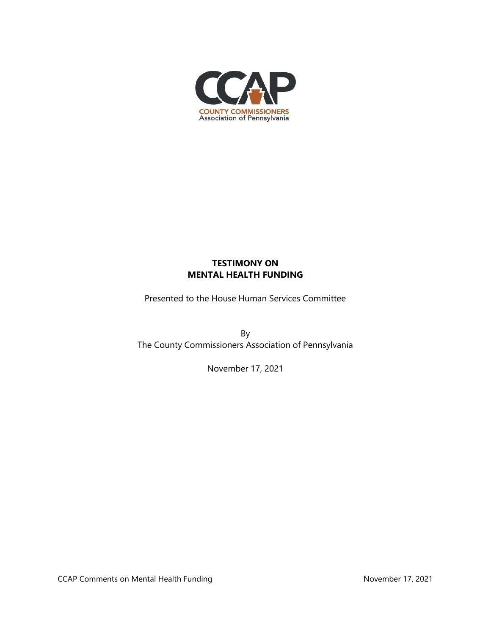

## **TESTIMONY ON MENTAL HEALTH FUNDING**

Presented to the House Human Services Committee

By The County Commissioners Association of Pennsylvania

November 17, 2021

CCAP Comments on Mental Health Funding November 17, 2021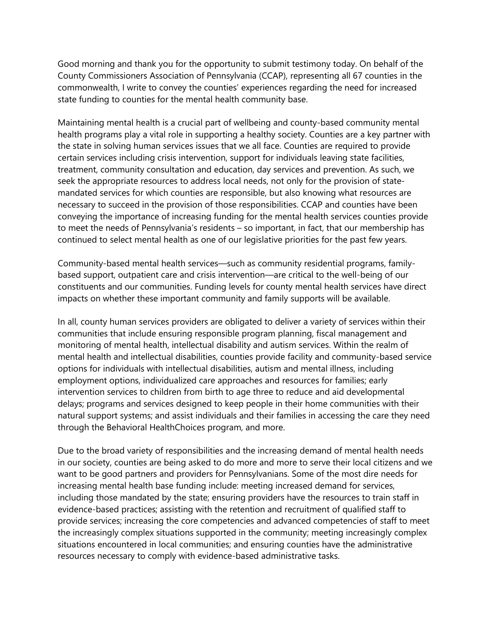Good morning and thank you for the opportunity to submit testimony today. On behalf of the County Commissioners Association of Pennsylvania (CCAP), representing all 67 counties in the commonwealth, I write to convey the counties' experiences regarding the need for increased state funding to counties for the mental health community base.

Maintaining mental health is a crucial part of wellbeing and county-based community mental health programs play a vital role in supporting a healthy society. Counties are a key partner with the state in solving human services issues that we all face. Counties are required to provide certain services including crisis intervention, support for individuals leaving state facilities, treatment, community consultation and education, day services and prevention. As such, we seek the appropriate resources to address local needs, not only for the provision of statemandated services for which counties are responsible, but also knowing what resources are necessary to succeed in the provision of those responsibilities. CCAP and counties have been conveying the importance of increasing funding for the mental health services counties provide to meet the needs of Pennsylvania's residents – so important, in fact, that our membership has continued to select mental health as one of our legislative priorities for the past few years.

Community-based mental health services—such as community residential programs, familybased support, outpatient care and crisis intervention—are critical to the well-being of our constituents and our communities. Funding levels for county mental health services have direct impacts on whether these important community and family supports will be available.

In all, county human services providers are obligated to deliver a variety of services within their communities that include ensuring responsible program planning, fiscal management and monitoring of mental health, intellectual disability and autism services. Within the realm of mental health and intellectual disabilities, counties provide facility and community-based service options for individuals with intellectual disabilities, autism and mental illness, including employment options, individualized care approaches and resources for families; early intervention services to children from birth to age three to reduce and aid developmental delays; programs and services designed to keep people in their home communities with their natural support systems; and assist individuals and their families in accessing the care they need through the Behavioral HealthChoices program, and more.

Due to the broad variety of responsibilities and the increasing demand of mental health needs in our society, counties are being asked to do more and more to serve their local citizens and we want to be good partners and providers for Pennsylvanians. Some of the most dire needs for increasing mental health base funding include: meeting increased demand for services, including those mandated by the state; ensuring providers have the resources to train staff in evidence-based practices; assisting with the retention and recruitment of qualified staff to provide services; increasing the core competencies and advanced competencies of staff to meet the increasingly complex situations supported in the community; meeting increasingly complex situations encountered in local communities; and ensuring counties have the administrative resources necessary to comply with evidence-based administrative tasks.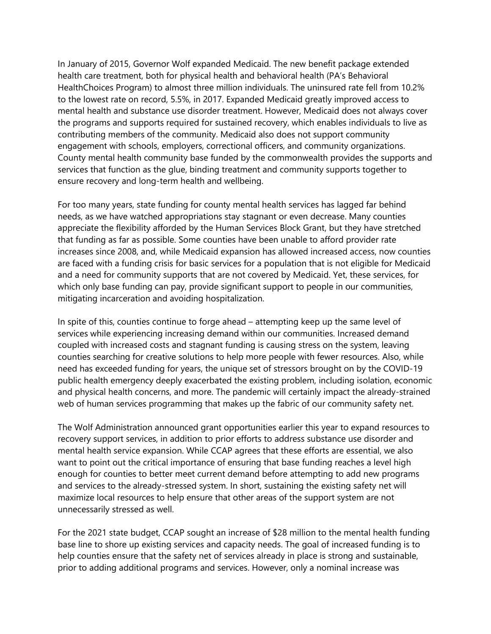In January of 2015, Governor Wolf expanded Medicaid. The new benefit package extended health care treatment, both for physical health and behavioral health (PA's Behavioral HealthChoices Program) to almost three million individuals. The uninsured rate fell from 10.2% to the lowest rate on record, 5.5%, in 2017. Expanded Medicaid greatly improved access to mental health and substance use disorder treatment. However, Medicaid does not always cover the programs and supports required for sustained recovery, which enables individuals to live as contributing members of the community. Medicaid also does not support community engagement with schools, employers, correctional officers, and community organizations. County mental health community base funded by the commonwealth provides the supports and services that function as the glue, binding treatment and community supports together to ensure recovery and long-term health and wellbeing.

For too many years, state funding for county mental health services has lagged far behind needs, as we have watched appropriations stay stagnant or even decrease. Many counties appreciate the flexibility afforded by the Human Services Block Grant, but they have stretched that funding as far as possible. Some counties have been unable to afford provider rate increases since 2008, and, while Medicaid expansion has allowed increased access, now counties are faced with a funding crisis for basic services for a population that is not eligible for Medicaid and a need for community supports that are not covered by Medicaid. Yet, these services, for which only base funding can pay, provide significant support to people in our communities, mitigating incarceration and avoiding hospitalization.

In spite of this, counties continue to forge ahead – attempting keep up the same level of services while experiencing increasing demand within our communities. Increased demand coupled with increased costs and stagnant funding is causing stress on the system, leaving counties searching for creative solutions to help more people with fewer resources. Also, while need has exceeded funding for years, the unique set of stressors brought on by the COVID-19 public health emergency deeply exacerbated the existing problem, including isolation, economic and physical health concerns, and more. The pandemic will certainly impact the already-strained web of human services programming that makes up the fabric of our community safety net.

The Wolf Administration announced grant opportunities earlier this year to expand resources to recovery support services, in addition to prior efforts to address substance use disorder and mental health service expansion. While CCAP agrees that these efforts are essential, we also want to point out the critical importance of ensuring that base funding reaches a level high enough for counties to better meet current demand before attempting to add new programs and services to the already-stressed system. In short, sustaining the existing safety net will maximize local resources to help ensure that other areas of the support system are not unnecessarily stressed as well.

For the 2021 state budget, CCAP sought an increase of \$28 million to the mental health funding base line to shore up existing services and capacity needs. The goal of increased funding is to help counties ensure that the safety net of services already in place is strong and sustainable, prior to adding additional programs and services. However, only a nominal increase was